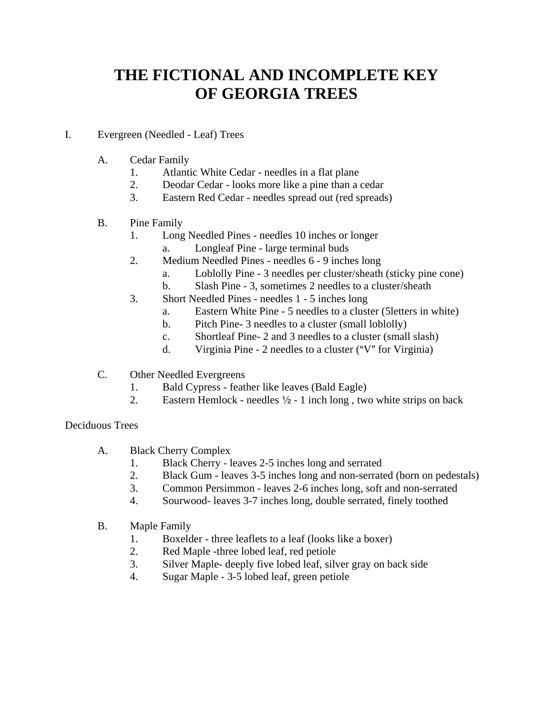# **THE FICTIONAL AND INCOMPLETE KEY OF GEORGIA TREES**

### I. Evergreen (Needled - Leaf) Trees

- A. Cedar Family
	- 1. Atlantic White Cedar needles in a flat plane
	- 2. Deodar Cedar looks more like a pine than a cedar
	- 3. Eastern Red Cedar needles spread out (red spreads)

## B. Pine Family

- 1. Long Needled Pines needles 10 inches or longer
	- a. Longleaf Pine large terminal buds
- 2. Medium Needled Pines needles 6 9 inches long
	- a. Loblolly Pine 3 needles per cluster/sheath (sticky pine cone)
	- b. Slash Pine 3, sometimes 2 needles to a cluster/sheath
- 3. Short Needled Pines needles 1 5 inches long
	- a. Eastern White Pine 5 needles to a cluster (5letters in white)
	- b. Pitch Pine- 3 needles to a cluster (small loblolly)
	- c. Shortleaf Pine- 2 and 3 needles to a cluster (small slash)
	- d. Virginia Pine 2 needles to a cluster ("V" for Virginia)
- C. Other Needled Evergreens
	- 1. Bald Cypress feather like leaves (Bald Eagle)
	- 2. Eastern Hemlock needles  $\frac{1}{2}$  1 inch long, two white strips on back

#### Deciduous Trees

- A. Black Cherry Complex
	- 1. Black Cherry leaves 2-5 inches long and serrated
	- 2. Black Gum leaves 3-5 inches long and non-serrated (born on pedestals)
	- 3. Common Persimmon leaves 2-6 inches long, soft and non-serrated
	- 4. Sourwood- leaves 3-7 inches long, double serrated, finely toothed
- B. Maple Family
	- 1. Boxelder three leaflets to a leaf (looks like a boxer)
	- 2. Red Maple -three lobed leaf, red petiole
	- 3. Silver Maple- deeply five lobed leaf, silver gray on back side
	- 4. Sugar Maple 3-5 lobed leaf, green petiole